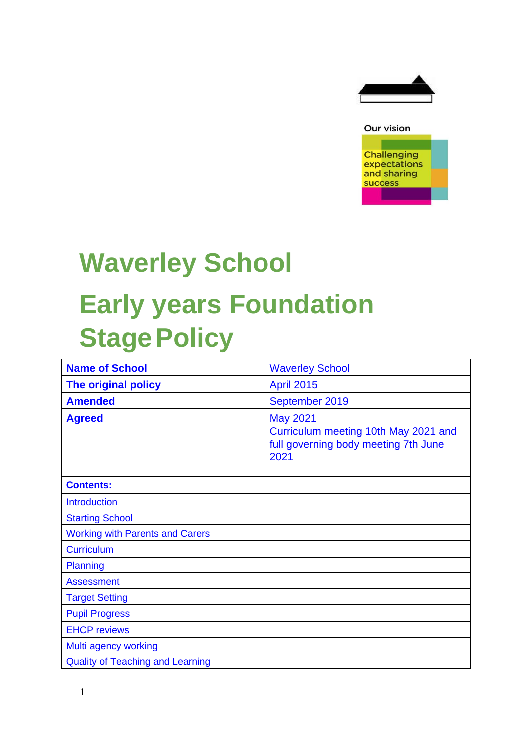



# **Waverley School Early years Foundation Stage Policy**

| <b>Name of School</b>                   | <b>Waverley School</b>                                                                                  |  |
|-----------------------------------------|---------------------------------------------------------------------------------------------------------|--|
| The original policy                     | <b>April 2015</b>                                                                                       |  |
| <b>Amended</b>                          | September 2019                                                                                          |  |
| <b>Agreed</b>                           | <b>May 2021</b><br>Curriculum meeting 10th May 2021 and<br>full governing body meeting 7th June<br>2021 |  |
| <b>Contents:</b>                        |                                                                                                         |  |
| <b>Introduction</b>                     |                                                                                                         |  |
| <b>Starting School</b>                  |                                                                                                         |  |
| <b>Working with Parents and Carers</b>  |                                                                                                         |  |
| <b>Curriculum</b>                       |                                                                                                         |  |
| Planning                                |                                                                                                         |  |
| <b>Assessment</b>                       |                                                                                                         |  |
| <b>Target Setting</b>                   |                                                                                                         |  |
| <b>Pupil Progress</b>                   |                                                                                                         |  |
| <b>EHCP reviews</b>                     |                                                                                                         |  |
| Multi agency working                    |                                                                                                         |  |
| <b>Quality of Teaching and Learning</b> |                                                                                                         |  |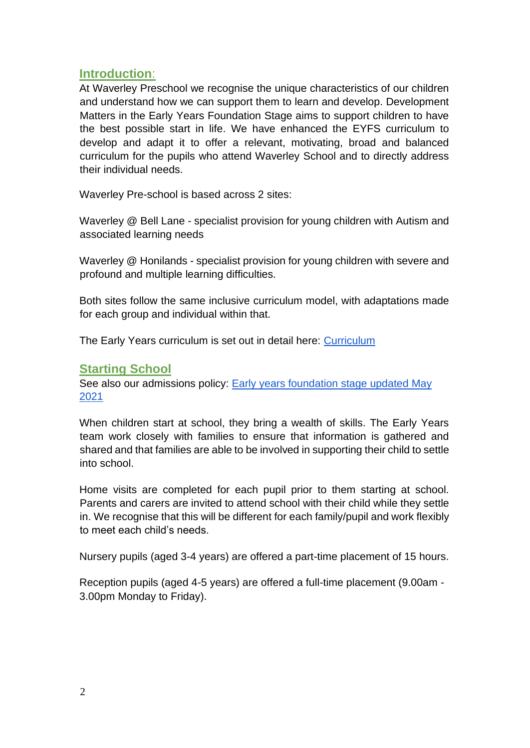# **Introduction**:

At Waverley Preschool we recognise the unique characteristics of our children and understand how we can support them to learn and develop. Development Matters in the Early Years Foundation Stage aims to support children to have the best possible start in life. We have enhanced the EYFS curriculum to develop and adapt it to offer a relevant, motivating, broad and balanced curriculum for the pupils who attend Waverley School and to directly address their individual needs.

Waverley Pre-school is based across 2 sites:

Waverley @ Bell Lane - specialist provision for young children with Autism and associated learning needs

Waverley @ Honilands - specialist provision for young children with severe and profound and multiple learning difficulties.

Both sites follow the same inclusive curriculum model, with adaptations made for each group and individual within that.

The Early Years curriculum is set out in detail here: [Curriculum](https://drive.google.com/drive/u/0/folders/1k6UHIiGLyaymWHoOruFpHAwR3SeV4XmH)

# **Starting School**

See also our admissions policy: [Early](https://docs.google.com/document/d/1r_16c8EzamxOFiZPjH_X-T1qQ0VyffZKPkRKe5jIVoc/edit) [years](https://docs.google.com/document/d/1r_16c8EzamxOFiZPjH_X-T1qQ0VyffZKPkRKe5jIVoc/edit) [foundation](https://docs.google.com/document/d/1r_16c8EzamxOFiZPjH_X-T1qQ0VyffZKPkRKe5jIVoc/edit) [stage](https://docs.google.com/document/d/1r_16c8EzamxOFiZPjH_X-T1qQ0VyffZKPkRKe5jIVoc/edit) [updated](https://docs.google.com/document/d/1r_16c8EzamxOFiZPjH_X-T1qQ0VyffZKPkRKe5jIVoc/edit) [May](https://docs.google.com/document/d/1r_16c8EzamxOFiZPjH_X-T1qQ0VyffZKPkRKe5jIVoc/edit)  [2021](https://docs.google.com/document/d/1r_16c8EzamxOFiZPjH_X-T1qQ0VyffZKPkRKe5jIVoc/edit)

When children start at school, they bring a wealth of skills. The Early Years team work closely with families to ensure that information is gathered and shared and that families are able to be involved in supporting their child to settle into school.

Home visits are completed for each pupil prior to them starting at school. Parents and carers are invited to attend school with their child while they settle in. We recognise that this will be different for each family/pupil and work flexibly to meet each child's needs.

Nursery pupils (aged 3-4 years) are offered a part-time placement of 15 hours.

Reception pupils (aged 4-5 years) are offered a full-time placement (9.00am - 3.00pm Monday to Friday).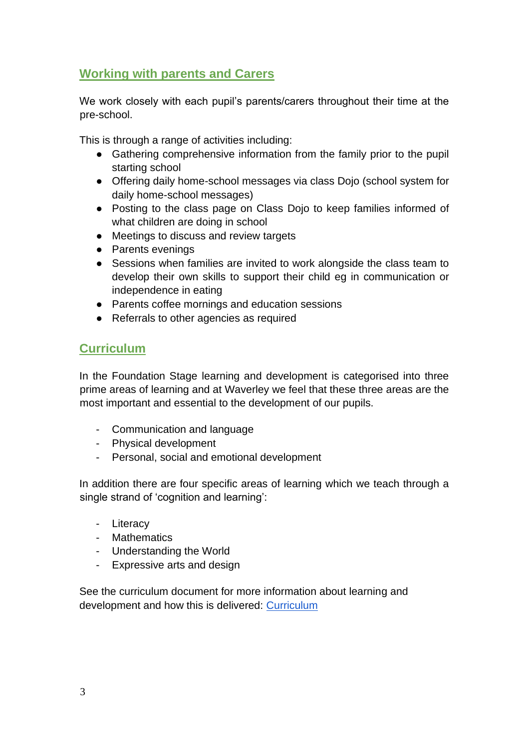# **Working with parents and Carers**

We work closely with each pupil's parents/carers throughout their time at the pre-school.

This is through a range of activities including:

- Gathering comprehensive information from the family prior to the pupil starting school
- Offering daily home-school messages via class Dojo (school system for daily home-school messages)
- Posting to the class page on Class Dojo to keep families informed of what children are doing in school
- Meetings to discuss and review targets
- Parents evenings
- Sessions when families are invited to work alongside the class team to develop their own skills to support their child eg in communication or independence in eating
- Parents coffee mornings and education sessions
- Referrals to other agencies as required

# **Curriculum**

In the Foundation Stage learning and development is categorised into three prime areas of learning and at Waverley we feel that these three areas are the most important and essential to the development of our pupils.

- Communication and language
- Physical development
- Personal, social and emotional development

In addition there are four specific areas of learning which we teach through a single strand of 'cognition and learning':

- Literacy
- Mathematics
- Understanding the World
- Expressive arts and design

See the curriculum document for more information about learning and development and how this is delivered: [Curriculum](https://drive.google.com/drive/u/0/folders/1k6UHIiGLyaymWHoOruFpHAwR3SeV4XmH)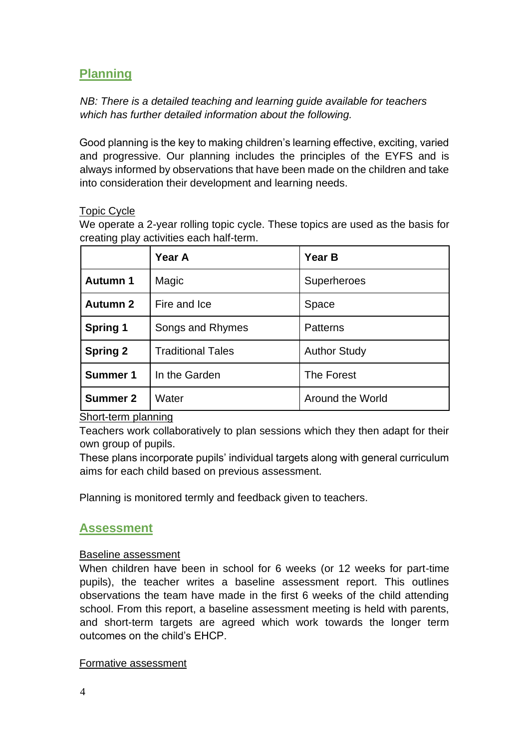# **Planning**

*NB: There is a detailed teaching and learning guide available for teachers which has further detailed information about the following.*

Good planning is the key to making children's learning effective, exciting, varied and progressive. Our planning includes the principles of the EYFS and is always informed by observations that have been made on the children and take into consideration their development and learning needs.

#### Topic Cycle

We operate a 2-year rolling topic cycle. These topics are used as the basis for creating play activities each half-term.

|                 | Year A                   | Year B              |
|-----------------|--------------------------|---------------------|
| <b>Autumn 1</b> | Magic                    | Superheroes         |
| <b>Autumn 2</b> | Fire and Ice             | Space               |
| <b>Spring 1</b> | Songs and Rhymes         | <b>Patterns</b>     |
| <b>Spring 2</b> | <b>Traditional Tales</b> | <b>Author Study</b> |
| <b>Summer 1</b> | In the Garden            | The Forest          |
| <b>Summer 2</b> | Water                    | Around the World    |

Short-term planning

Teachers work collaboratively to plan sessions which they then adapt for their own group of pupils.

These plans incorporate pupils' individual targets along with general curriculum aims for each child based on previous assessment.

Planning is monitored termly and feedback given to teachers.

#### **Assessment**

#### Baseline assessment

When children have been in school for 6 weeks (or 12 weeks for part-time pupils), the teacher writes a baseline assessment report. This outlines observations the team have made in the first 6 weeks of the child attending school. From this report, a baseline assessment meeting is held with parents, and short-term targets are agreed which work towards the longer term outcomes on the child's EHCP.

#### Formative assessment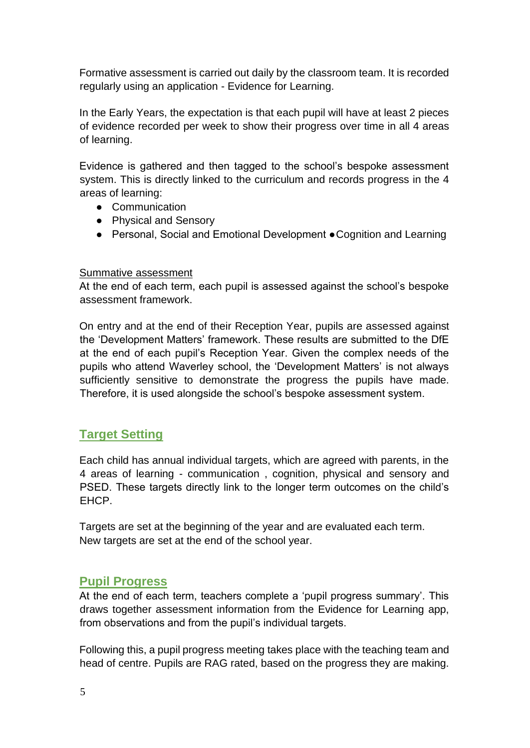Formative assessment is carried out daily by the classroom team. It is recorded regularly using an application - Evidence for Learning.

In the Early Years, the expectation is that each pupil will have at least 2 pieces of evidence recorded per week to show their progress over time in all 4 areas of learning.

Evidence is gathered and then tagged to the school's bespoke assessment system. This is directly linked to the curriculum and records progress in the 4 areas of learning:

- Communication
- Physical and Sensory
- Personal, Social and Emotional Development Cognition and Learning

#### Summative assessment

At the end of each term, each pupil is assessed against the school's bespoke assessment framework.

On entry and at the end of their Reception Year, pupils are assessed against the 'Development Matters' framework. These results are submitted to the DfE at the end of each pupil's Reception Year. Given the complex needs of the pupils who attend Waverley school, the 'Development Matters' is not always sufficiently sensitive to demonstrate the progress the pupils have made. Therefore, it is used alongside the school's bespoke assessment system.

# **Target Setting**

Each child has annual individual targets, which are agreed with parents, in the 4 areas of learning - communication , cognition, physical and sensory and PSED. These targets directly link to the longer term outcomes on the child's EHCP.

Targets are set at the beginning of the year and are evaluated each term. New targets are set at the end of the school year.

# **Pupil Progress**

At the end of each term, teachers complete a 'pupil progress summary'. This draws together assessment information from the Evidence for Learning app, from observations and from the pupil's individual targets.

Following this, a pupil progress meeting takes place with the teaching team and head of centre. Pupils are RAG rated, based on the progress they are making.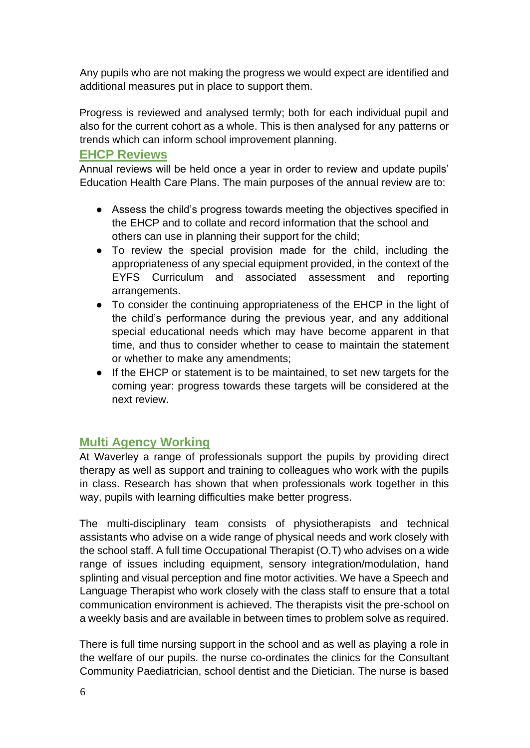Any pupils who are not making the progress we would expect are identified and additional measures put in place to support them.

Progress is reviewed and analysed termly; both for each individual pupil and also for the current cohort as a whole. This is then analysed for any patterns or trends which can inform school improvement planning.

### **EHCP Reviews**

Annual reviews will be held once a year in order to review and update pupils' Education Health Care Plans. The main purposes of the annual review are to:

- Assess the child's progress towards meeting the objectives specified in the EHCP and to collate and record information that the school and others can use in planning their support for the child;
- To review the special provision made for the child, including the appropriateness of any special equipment provided, in the context of the EYFS Curriculum and associated assessment and reporting arrangements.
- To consider the continuing appropriateness of the EHCP in the light of the child's performance during the previous year, and any additional special educational needs which may have become apparent in that time, and thus to consider whether to cease to maintain the statement or whether to make any amendments;
- If the EHCP or statement is to be maintained, to set new targets for the coming year: progress towards these targets will be considered at the next review.

# **Multi Agency Working**

At Waverley a range of professionals support the pupils by providing direct therapy as well as support and training to colleagues who work with the pupils in class. Research has shown that when professionals work together in this way, pupils with learning difficulties make better progress.

The multi-disciplinary team consists of physiotherapists and technical assistants who advise on a wide range of physical needs and work closely with the school staff. A full time Occupational Therapist (O.T) who advises on a wide range of issues including equipment, sensory integration/modulation, hand splinting and visual perception and fine motor activities. We have a Speech and Language Therapist who work closely with the class staff to ensure that a total communication environment is achieved. The therapists visit the pre-school on a weekly basis and are available in between times to problem solve as required.

There is full time nursing support in the school and as well as playing a role in the welfare of our pupils. the nurse co-ordinates the clinics for the Consultant Community Paediatrician, school dentist and the Dietician. The nurse is based